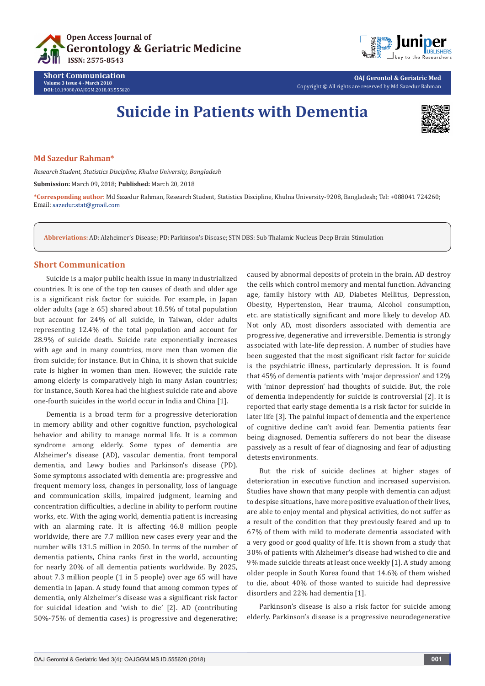



**OAJ Gerontol & Geriatric Med** Copyright © All rights are reserved by Md Sazedur Rahman

# **Suicide in Patients with Dementia**



## **Md Sazedur Rahman\***

**Short Communication Volume 3 Issue 4 - March 2018 DOI:** [10.19080/OAJGGM.2018.03.555620](http://dx.doi.org/10.19080/OAJGGM.2018.03.555620)

*Research Student, Statistics Discipline, Khulna University, Bangladesh* 

**Submission:** March 09, 2018; **Published:** March 20, 2018

**\*Corresponding author**: Md Sazedur Rahman, Research Student, Statistics Discipline, Khulna University-9208, Bangladesh; Tel: +088041 724260; Email: sazedur.stat@gmail.com

**Abbreviations:** AD: Alzheimer's Disease; PD: Parkinson's Disease; STN DBS: Sub Thalamic Nucleus Deep Brain Stimulation

# **Short Communication**

Suicide is a major public health issue in many industrialized countries. It is one of the top ten causes of death and older age is a significant risk factor for suicide. For example, in Japan older adults (age  $\geq 65$ ) shared about 18.5% of total population but account for 24% of all suicide, in Taiwan, older adults representing 12.4% of the total population and account for 28.9% of suicide death. Suicide rate exponentially increases with age and in many countries, more men than women die from suicide; for instance. But in China, it is shown that suicide rate is higher in women than men. However, the suicide rate among elderly is comparatively high in many Asian countries; for instance, South Korea had the highest suicide rate and above one-fourth suicides in the world occur in India and China [1].

Dementia is a broad term for a progressive deterioration in memory ability and other cognitive function, psychological behavior and ability to manage normal life. It is a common syndrome among elderly. Some types of dementia are Alzheimer's disease (AD), vascular dementia, front temporal dementia, and Lewy bodies and Parkinson's disease (PD). Some symptoms associated with dementia are: progressive and frequent memory loss, changes in personality, loss of language and communication skills, impaired judgment, learning and concentration difficulties, a decline in ability to perform routine works, etc. With the aging world, dementia patient is increasing with an alarming rate. It is affecting 46.8 million people worldwide, there are 7.7 million new cases every year and the number wills 131.5 million in 2050. In terms of the number of dementia patients, China ranks first in the world, accounting for nearly 20% of all dementia patients worldwide. By 2025, about 7.3 million people (1 in 5 people) over age 65 will have dementia in Japan. A study found that among common types of dementia, only Alzheimer's disease was a significant risk factor for suicidal ideation and 'wish to die' [2]. AD (contributing 50%-75% of dementia cases) is progressive and degenerative;

caused by abnormal deposits of protein in the brain. AD destroy the cells which control memory and mental function. Advancing age, family history with AD, Diabetes Mellitus, Depression, Obesity, Hypertension, Hear trauma, Alcohol consumption, etc. are statistically significant and more likely to develop AD. Not only AD, most disorders associated with dementia are progressive, degenerative and irreversible. Dementia is strongly associated with late-life depression. A number of studies have been suggested that the most significant risk factor for suicide is the psychiatric illness, particularly depression. It is found that 45% of dementia patients with 'major depression' and 12% with 'minor depression' had thoughts of suicide. But, the role of dementia independently for suicide is controversial [2]. It is reported that early stage dementia is a risk factor for suicide in later life [3]. The painful impact of dementia and the experience of cognitive decline can't avoid fear. Dementia patients fear being diagnosed. Dementia sufferers do not bear the disease passively as a result of fear of diagnosing and fear of adjusting detests environments.

But the risk of suicide declines at higher stages of deterioration in executive function and increased supervision. Studies have shown that many people with dementia can adjust to despise situations, have more positive evaluation of their lives, are able to enjoy mental and physical activities, do not suffer as a result of the condition that they previously feared and up to 67% of them with mild to moderate dementia associated with a very good or good quality of life. It is shown from a study that 30% of patients with Alzheimer's disease had wished to die and 9% made suicide threats at least once weekly [1]. A study among older people in South Korea found that 14.6% of them wished to die, about 40% of those wanted to suicide had depressive disorders and 22% had dementia [1].

Parkinson's disease is also a risk factor for suicide among elderly. Parkinson's disease is a progressive neurodegenerative